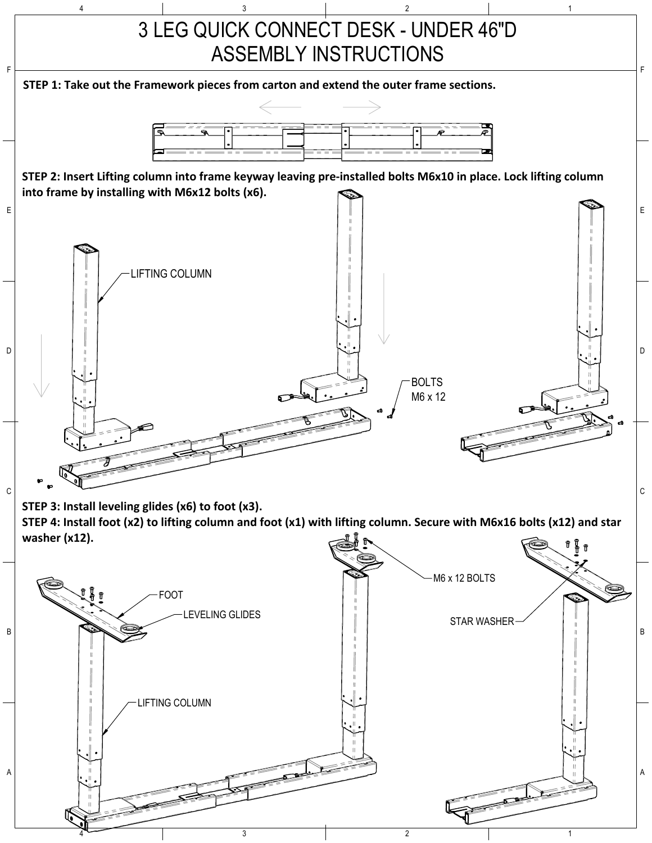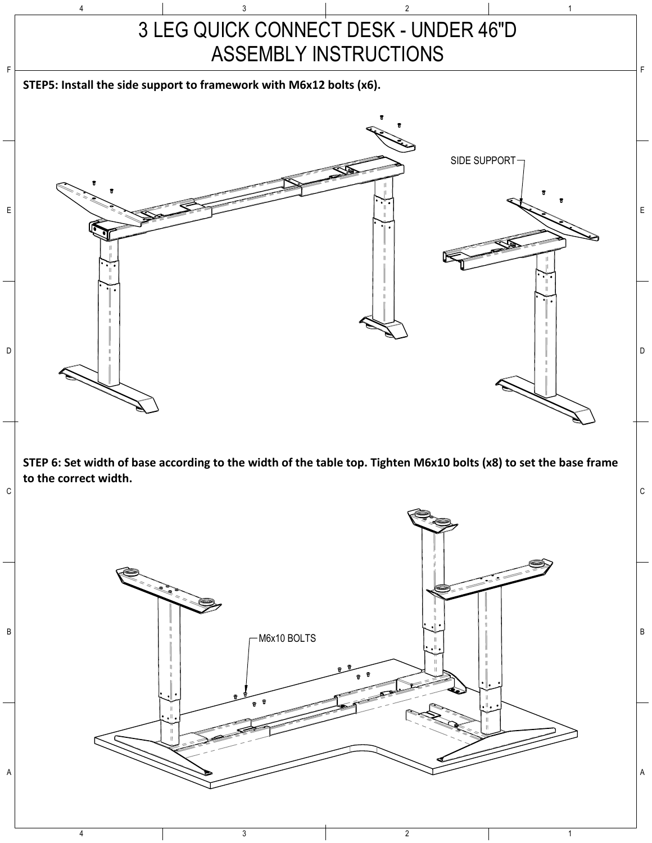